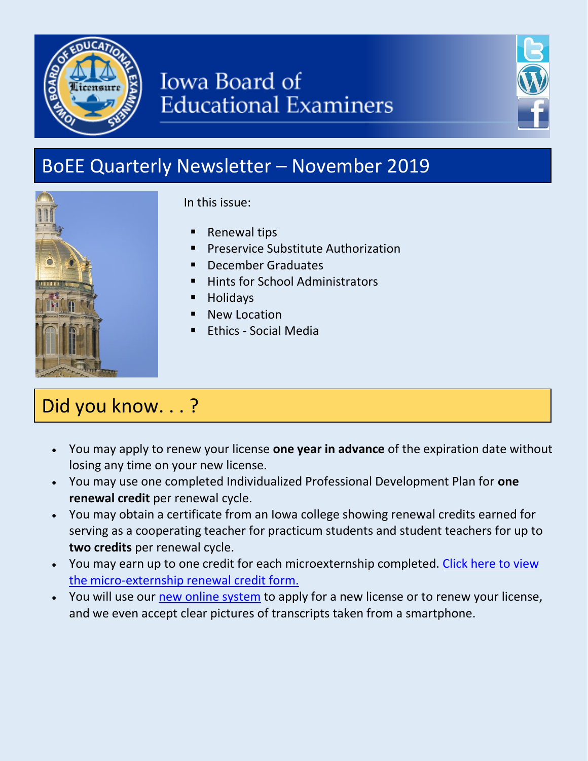

# **Iowa Board of Educational Examiners**



# BoEE Quarterly Newsletter – November 2019



In this issue:

- Renewal tips
- Preservice Substitute Authorization
- December Graduates
- Hints for School Administrators
- Holidays
- New Location
- Ethics Social Media

## Did you know. . . ?

- You may apply to renew your license **one year in advance** of the expiration date without losing any time on your new license.
- You may use one completed Individualized Professional Development Plan for **one renewal credit** per renewal cycle.
- You may obtain a certificate from an Iowa college showing renewal credits earned for serving as a cooperating teacher for practicum students and student teachers for up to **two credits** per renewal cycle.
- You may earn up to one credit for each microexternship completed. Click here to view [the micro-externship renewal credit form.](https://drive.google.com/file/d/1TBS5a7snwJLm-go_fUY4ztbFW8ph4JAp/view?usp=sharing)
- You will use our [new online system](https://www.boee.iowa.gov/you-begin) to apply for a new license or to renew your license, and we even accept clear pictures of transcripts taken from a smartphone.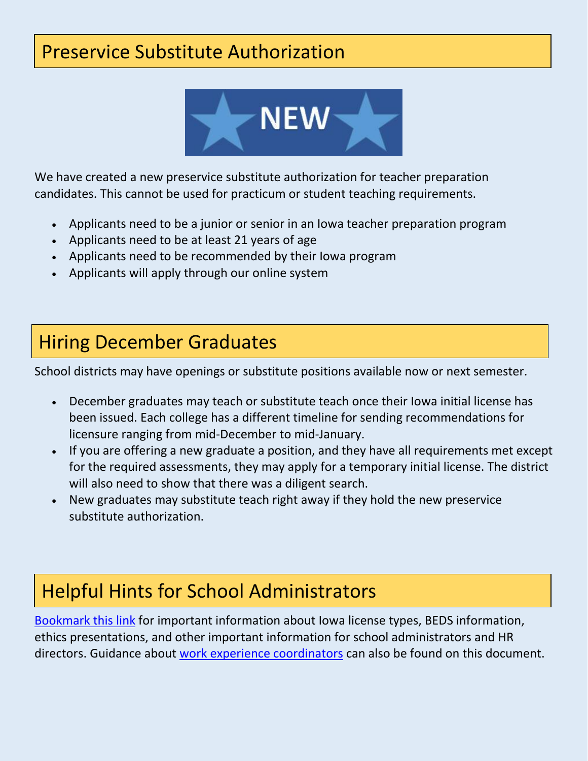### Preservice Substitute Authorization



We have created a new preservice substitute authorization for teacher preparation candidates. This cannot be used for practicum or student teaching requirements.

- Applicants need to be a junior or senior in an Iowa teacher preparation program
- Applicants need to be at least 21 years of age
- Applicants need to be recommended by their Iowa program
- Applicants will apply through our online system

#### Hiring December Graduates

School districts may have openings or substitute positions available now or next semester.

- December graduates may teach or substitute teach once their Iowa initial license has been issued. Each college has a different timeline for sending recommendations for licensure ranging from mid-December to mid-January.
- If you are offering a new graduate a position, and they have all requirements met except for the required assessments, they may apply for a temporary initial license. The district will also need to show that there was a diligent search.
- New graduates may substitute teach right away if they hold the new preservice substitute authorization.

### Helpful Hints for School Administrators

[Bookmark this link](https://docs.google.com/document/d/1ZkW8meSaZe6xsXuxSiisZWWr_1vAylQCx_l8qO1EwWI/edit?usp=sharing) for important information about Iowa license types, BEDS information, ethics presentations, and other important information for school administrators and HR directors. Guidance about [work experience coordinators](https://drive.google.com/file/d/1FF0gi_K7i5UC91ZMVwvCcnTMQQzZrUeq/view?usp=sharing) can also be found on this document.